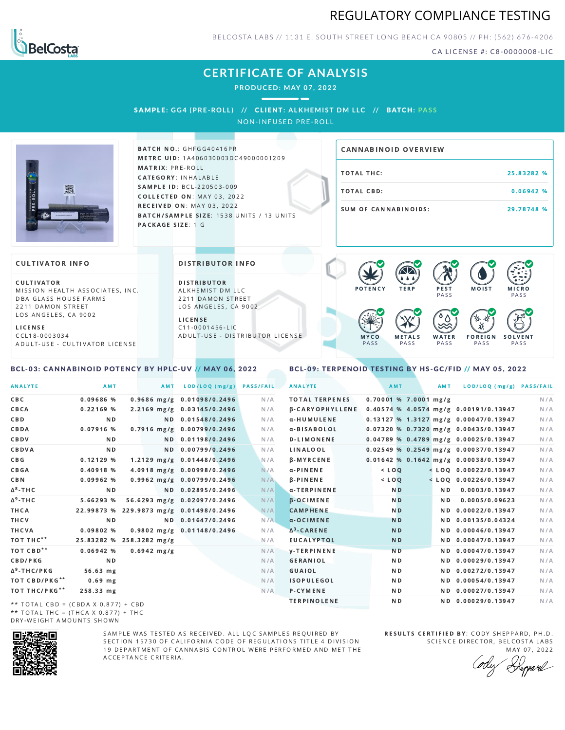



BELCOSTA LABS // 1131 E. SOUTH STREET LONG BEACH C A 90805 // PH: (562) 676-4206

CA LICENSE #: C8-0000008-LIC

## **CERTIFICATE OF ANALYSIS**

**PRODUCED: MAY 07, 2022**

 $\overline{\phantom{a}}$ 

SAMPL E **: GG4 (PRE -ROL L ) //** CL I ENT**: A LKHEMI ST DM L LC //** BATCH**: PA S S** NON-INFUSED PRE-ROLL



**BATCH NO.: GHFGG40416PR** METRC UID: 1A406030003DC49000001209 MATRIX: PRE-ROLL CATEGORY: INHALABLE SAMPLE ID: BCL-220503-009 COLLECTED ON: MAY 03, 2022 **RECEIVED ON: MAY 03, 2022** BATCH/SAMPLE SIZE: 1538 UNITS / 13 UNITS PACKAGE SIZE: 1 G

# TOTAL THC: 25.83282 % TOTAL CBD: 0.06942 % SUM OF CANNABINOIDS: 29.78748 % CANNABINOID OVERVIEW

### **CULTIVATOR INFO**

CULTIVATOR MISSION HEALTH ASSOCIATES, INC. DBA GLASS HOUSE FARMS 2211 DAMON STREET LOS ANGELES, CA 9002

L I C E N S E C C L 1 8 - 0 0 0 3 0 3 4 A D U L T - U S E - C U L T I V A T O R L I CENSE

<span id="page-0-0"></span>BCL-03: CANNABINOID POTENCY BY HPLC-UV // MAY 06, 2022

DISTRIBUTOR INFO

D I STRIBUTOR ALKHEMIST DM LLC 2211 DAMON STREET LOS ANGELES, CA 9002 L I C E N S E

C 1 1 - 0 0 0 1 4 5 6 - L I C A D U L T - U S E - D I STRI B U T O R LICENSE



<span id="page-0-1"></span>BCL-09: TERPENOID TESTING BY HS-GC/FID // MAY 05, 2022

| <b>ANALYTE</b>                      | AMT                                     |               | AMT | LOD/LOQ (mg/g)                 | <b>PASS/FAIL</b> | <b>ANALYTE</b>   |                        |                         | AMT            | AMT | LOD/LOQ (mg/g) PASS/FAIL                |     |
|-------------------------------------|-----------------------------------------|---------------|-----|--------------------------------|------------------|------------------|------------------------|-------------------------|----------------|-----|-----------------------------------------|-----|
| CBC                                 | 0.09686 %                               |               |     | 0.9686 mg/g 0.01098/0.2496     | N/A              |                  | <b>TOTAL TERPENES</b>  | $0.70001$ % 7.0001 mg/g |                |     |                                         | N/A |
| CBCA                                | 0.22169%                                |               |     | 2.2169 mg/g 0.03145/0.2496     | N/A              |                  | <b>B-CARYOPHYLLENE</b> |                         |                |     | 0.40574 % 4.0574 mg/g 0.00191/0.13947   | N/A |
| C B D                               | N <sub>D</sub>                          |               |     | ND 0.01548/0.2496              | N/A              |                  | α-HUMULENE             |                         |                |     | $0.13127%$ 1.3127 mg/g 0.00047/0.13947  | N/A |
| CBDA                                | 0.07916 %                               |               |     | $0.7916$ mg/g $0.00799/0.2496$ | N/A              |                  | α-BISABOLOL            |                         |                |     | 0.07320 % 0.7320 mg/g 0.00435/0.13947   | N/A |
| CBDV                                | N D                                     |               |     | ND 0.01198/0.2496              | N/A              |                  | <b>D-LIMONENE</b>      |                         |                |     | $0.04789$ % 0.4789 mg/g 0.00025/0.13947 | N/A |
| CBDVA                               | N <sub>D</sub>                          |               |     | ND 0.00799/0.2496              | N/A              |                  | LINALOOL               |                         |                |     | $0.02549$ % 0.2549 mg/g 0.00037/0.13947 | N/A |
| C B G                               | 0.12129%                                |               |     | 1.2129 mg/g 0.01448/0.2496     | N/A              |                  | <b>B-MYRCENE</b>       |                         |                |     | 0.01642 % 0.1642 mg/g 0.00038/0.13947   | N/A |
| CBGA                                | 0.40918%                                |               |     | 4.0918 mg/g 0.00998/0.2496     | N/A              | $\alpha$ -PINENE |                        |                         | $<$ $LOO$      |     | $<$ LOQ 0.00022/0.13947                 | N/A |
| C B N                               | 0.09962%                                |               |     | $0.9962$ mg/g $0.00799/0.2496$ | N/A              | $\beta$ -PINENE  |                        |                         | $<$ LOO        |     | $<$ LOQ 0.00226/0.13947                 | N/A |
| ∆8-THC                              | N <sub>D</sub>                          |               |     | ND 0.02895/0.2496              | N/A              |                  | α-TERPINENE            |                         | N <sub>D</sub> | ND. | 0.0003/0.13947                          | N/A |
| Δ <sup>9</sup> -ΤΗ C                | 5.66293 %                               |               |     | 56.6293 mg/g 0.02097/0.2496    | N/A              |                  | <b>B-OCIMENE</b>       |                         | N <sub>D</sub> | ND. | 0.0005/0.09623                          | N/A |
| ТНСА                                | 22.99873 % 229.9873 mg/g 0.01498/0.2496 |               |     |                                | N/A              |                  | <b>CAMPHENE</b>        |                         | N <sub>D</sub> |     | ND 0.00022/0.13947                      | N/A |
| THCV                                | N <sub>D</sub>                          |               |     | ND 0.01647/0.2496              | N/A              |                  | $\alpha$ -OCIMENE      |                         | <b>ND</b>      |     | ND 0.00135/0.04324                      | N/A |
| THCVA                               | 0.09802%                                |               |     | 0.9802 mg/g 0.01148/0.2496     | N/A              |                  | $\Delta^3$ -CARENE     |                         | N <sub>D</sub> |     | ND 0.00046/0.13947                      | N/A |
| тот тнс**                           | 25.83282 % 258.3282 mg/g                |               |     |                                | N/A              |                  | <b>EUCALYPTOL</b>      |                         | N <sub>D</sub> |     | ND 0.00047/0.13947                      | N/A |
| тот свр**                           | 0.06942%                                | $0.6942$ mg/g |     |                                | N/A              |                  | <b>V-TERPINENE</b>     |                         | N <sub>D</sub> |     | ND 0.00047/0.13947                      | N/A |
| <b>CBD/PKG</b>                      | N <sub>D</sub>                          |               |     |                                | N/A              |                  | <b>GERANIOL</b>        |                         | N D            |     | ND 0.00029/0.13947                      | N/A |
| Δ <sup>9</sup> -THC/PKG             | 56.63 mg                                |               |     |                                | N/A              | GUAIOL           |                        |                         | ND.            |     | ND 0.00272/0.13947                      | N/A |
| ТОТ СВD/РКG**                       | $0.69$ mg                               |               |     |                                | N/A              |                  | <b>ISOPULEGOL</b>      |                         | ND.            |     | ND 0.00054/0.13947                      | N/A |
| ТОТ ТНС/РКG**                       | 258.33 mg                               |               |     |                                | N/A              |                  | P-CYMENE               |                         | ND.            |     | ND 0.00027/0.13947                      | N/A |
| ** IOIAL CRD - (CRDA V 0 077) L CRD |                                         |               |     |                                |                  |                  | <b>TERPINOLENE</b>     |                         | N <sub>D</sub> |     | ND 0.00029/0.13947                      | N/A |

\*\* TOTAL CBD = (CBDA X 0.877) + CBD \*\* TOTAL THC =  $(THCA \times 0.877) + THC$ DRY-WEIGHT AMOUNTS SHOWN



SAMPLE WAS TESTED AS RECEIVED. ALL LOC SAMPLES REQUIRED BY SECTION 15730 OF CALIFORNIA CODE OF REGULATIONS TITLE 4 DIVISION 19 DEPARTMENT OF CANNABIS CONTROL WERE PERFORMED AND MET THE A C C E P T A N C E C R I T E R I A.

RESULTS CERTIFIED BY: CODY SHEPPARD, PH.D. SCIENCE DIRECTOR, BELCOSTA LABS MAY 07, 2022

: Deppard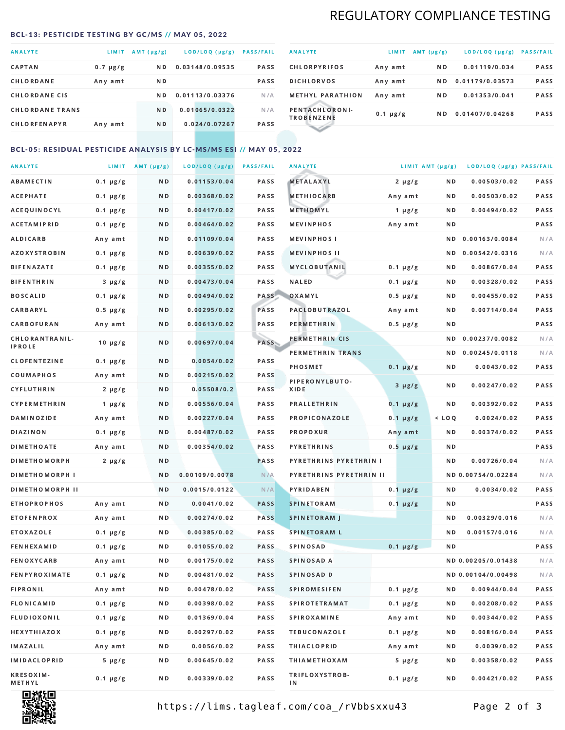## REGULATORY COMPLIANCE TESTING

#### <span id="page-1-0"></span>BCL-13: PESTICIDE TESTING BY GC/MS // MAY 05, 2022

| <b>ANALYTE</b>         | <b>LIMIT</b>  | $AMT(\mu g/g)$ | LOD/LOQ (µg/g)  | <b>PASS/FAIL</b> |
|------------------------|---------------|----------------|-----------------|------------------|
| <b>CAPTAN</b>          | $0.7 \mu g/g$ | N <sub>D</sub> | 0.03148/0.09535 | <b>PASS</b>      |
| CHLORDANE              | Any amt       | ND.            |                 | <b>PASS</b>      |
| <b>CHLORDANE CIS</b>   |               | ND.            | 0.01113/0.03376 | N/A              |
| <b>CHLORDANE TRANS</b> |               | N <sub>D</sub> | 0.01065/0.0322  | N/A              |
| <b>CHLORFENAPYR</b>    | Any amt       | N D            | 0.024/0.07267   | <b>PASS</b>      |

| <b>ANALYTE</b>                      | LIMIT         | AMT $(\mu g/g)$ | LOD/LOQ (µg/g)  | <b>PASS/FAIL</b> |
|-------------------------------------|---------------|-----------------|-----------------|------------------|
| <b>CHLORPYRIFOS</b>                 | Any amt       | N D             | 0.01119/0.034   | <b>PASS</b>      |
| <b>DICHLORVOS</b>                   | Any amt       | ND.             | 0.01179/0.03573 | <b>PASS</b>      |
| <b>METHYL PARATHION</b>             | Any amt       | ND.             | 0.01353/0.041   | <b>PASS</b>      |
| PENTACHLORONI-<br><b>TROBENZENE</b> | $0.1 \mu g/g$ | ND.             | 0.01407/0.04268 | <b>PASS</b>      |
|                                     |               |                 |                 |                  |

## BCL-05: RESIDUAL PESTICIDE ANALYSIS BY LC-MS/MS ESI // MAY 05, 2022

| <b>ANALYTE</b>         |               | LIMIT $AMT (\mu g/g)$ | LOD/LOQ (µg/g) | <b>PASS/FAIL</b> | <b>ANALYTE</b>          |               | LIMIT AMT (µg/g) | LOD/LOQ (µg/g) PASS/FAIL |      |
|------------------------|---------------|-----------------------|----------------|------------------|-------------------------|---------------|------------------|--------------------------|------|
| <b>ABAMECTIN</b>       | $0.1 \mu g/g$ | N D                   | 0.01153/0.04   | PASS             | METALAXYL               | $2 \mu g/g$   | N D              | 0.00503/0.02             | PASS |
| <b>ACEPHATE</b>        | $0.1 \mu g/g$ | N D                   | 0.00368/0.02   | PASS             | <b>METHIOCARB</b>       | Any amt       | ND.              | 0.00503/0.02             | PASS |
| ACEQUINOCYL            | $0.1 \mu g/g$ | N D                   | 0.00417/0.02   | PASS             | METHOMYL                | 1 $\mu$ g/g   | N D              | 0.00494/0.02             | PASS |
| <b>ACETAMIPRID</b>     | $0.1 \mu g/g$ | N D                   | 0.00464/0.02   | PASS             | <b>MEVINPHOS</b>        | Any amt       | N D              |                          | PASS |
| ALDICARB               | Any amt       | N D                   | 0.01109/0.04   | PASS             | <b>MEVINPHOSI</b>       |               | ND.              | 0.00163/0.0084           | N/A  |
| <b>AZOXYSTROBIN</b>    | $0.1 \mu g/g$ | N D                   | 0.00639/0.02   | PASS             | <b>MEVINPHOS II</b>     |               | N D              | 0.00542/0.0316           | N/A  |
| <b>BIFENAZATE</b>      | $0.1 \mu g/g$ | N D                   | 0.00355/0.02   | PASS             | MYCLOBUTANIL            | $0.1 \mu g/g$ | N D              | 0.00867/0.04             | PASS |
| <b>BIFENTHRIN</b>      | $3 \mu g/g$   | N D                   | 0.00473/0.04   | PASS             | <b>NALED</b>            | $0.1 \mu g/g$ | N D              | 0.00328/0.02             | PASS |
| <b>BOSCALID</b>        | $0.1 \mu g/g$ | N D                   | 0.00494/0.02   | PASS             | OXAMYL                  | $0.5 \mu g/g$ | N D              | 0.00455/0.02             | PASS |
| <b>CARBARYL</b>        | $0.5 \mu g/g$ | N D                   | 0.00295/0.02   | PASS             | PACLOBUTRAZOL           | Any amt       | N D              | 0.00714/0.04             | PASS |
| CARBOFURAN             | Any amt       | N D                   | 0.00613/0.02   | PASS             | <b>PERMETHRIN</b>       | $0.5 \mu g/g$ | N D              |                          | PASS |
| CHLORANTRANIL-         | $10 \mu g/g$  | N D                   | 0.00697/0.04   | PASS             | PERMETHRIN CIS          |               | ND.              | 0.00237/0.0082           | N/A  |
| <b>IPROLE</b>          |               |                       |                |                  | PERMETHRIN TRANS        |               |                  | ND 0.00245/0.0118        | N/A  |
| <b>CLOFENTEZINE</b>    | $0.1 \mu g/g$ | ND.                   | 0.0054/0.02    | PASS             | <b>PHOSMET</b>          | $0.1 \mu g/g$ | N D              | 0.0043/0.02              | PASS |
| COUMAPHOS              | Any amt       | N D                   | 0.00215/0.02   | <b>PASS</b>      | PIPERONYLBUTO-          | $3 \mu g/g$   | N D              | 0.00247/0.02             | PASS |
| CYFLUTHRIN             | $2 \mu g/g$   | ND.                   | 0.05508/0.2    | PASS             | XIDE                    |               |                  |                          |      |
| <b>CYPERMETHRIN</b>    | $1 \mu g/g$   | N D                   | 0.00556/0.04   | PASS             | <b>PRALLETHRIN</b>      | $0.1 \mu g/g$ | N D              | 0.00392/0.02             | PASS |
| <b>DAMINOZIDE</b>      | Any amt       | N D                   | 0.00227/0.04   | PASS             | PROPICONAZOLE           | $0.1 \mu g/g$ | $<$ LOQ          | 0.0024/0.02              | PASS |
| <b>DIAZINON</b>        | $0.1 \mu g/g$ | N D                   | 0.00487/0.02   | PASS             | <b>PROPOXUR</b>         | Any amt       | N D              | 0.00374/0.02             | PASS |
| <b>DIMETHOATE</b>      | Any amt       | N D                   | 0.00354/0.02   | PASS             | <b>PYRETHRINS</b>       | $0.5 \mu g/g$ | N D              |                          | PASS |
| <b>DIMETHOMORPH</b>    | $2 \mu g/g$   | N D                   |                | PASS             | PYRETHRINS PYRETHRIN I  |               | N D              | 0.00726/0.04             | N/A  |
| <b>DIMETHOMORPH I</b>  |               | N D                   | 0.00109/0.0078 | N/A              | PYRETHRINS PYRETHRIN II |               |                  | ND 0.00754/0.02284       | N/A  |
| <b>DIMETHOMORPH II</b> |               | ND.                   | 0.0015/0.0122  | N/A              | <b>PYRIDABEN</b>        | $0.1 \mu g/g$ | N D              | 0.0034/0.02              | PASS |
| <b>ETHOPROPHOS</b>     | Any amt       | N D                   | 0.0041/0.02    | <b>PASS</b>      | <b>SPINETORAM</b>       | $0.1 \mu g/g$ | N D              |                          | PASS |
| <b>ETOFENPROX</b>      | Any amt       | N D                   | 0.00274/0.02   | <b>PASS</b>      | <b>SPINETORAM J</b>     |               | N D              | 0.00329/0.016            | N/A  |
| ETOXAZOLE              | $0.1 \mu g/g$ | N D                   | 0.00385/0.02   | <b>PASS</b>      | <b>SPINETORAM L</b>     |               | N D              | 0.00157/0.016            | N/A  |
| <b>FENHEXAMID</b>      | $0.1 \mu g/g$ | N D                   | 0.01055/0.02   | <b>PASS</b>      | <b>SPINOSAD</b>         | $0.1 \mu g/g$ | N D              |                          | PASS |
| <b>FENOXYCARB</b>      | Any amt       | N D                   | 0.00175/0.02   | PASS             | SPINOSAD A              |               |                  | ND 0.00205/0.01438       | N/A  |
| <b>FENPYROXIMATE</b>   | $0.1 \mu g/g$ | N D                   | 0.00481/0.02   | PASS             | SPINOSAD D              |               |                  | ND 0.00104/0.00498       | N/A  |
| <b>FIPRONIL</b>        | Any amt       | N D                   | 0.00478/0.02   | PASS             | <b>SPIROMESIFEN</b>     | $0.1 \mu g/g$ | N D              | 0.00944/0.04             | PASS |
| <b>FLONICAMID</b>      | $0.1 \mu g/g$ | N D                   | 0.00398/0.02   | PASS             | <b>SPIROTETRAMAT</b>    | $0.1 \mu g/g$ | N D              | 0.00208/0.02             | PASS |
| FLUDIOXONIL            | $0.1 \mu g/g$ | N D                   | 0.01369/0.04   | PASS             | <b>SPIROXAMINE</b>      | Any amt       | N D              | 0.00344/0.02             | PASS |
| <b>HEXYTHIAZOX</b>     | $0.1 \mu g/g$ | N D                   | 0.00297/0.02   | PASS             | <b>TEBUCONAZOLE</b>     | $0.1 \mu g/g$ | N D              | 0.00816/0.04             | PASS |
| IMAZALIL               | Any amt       | N D                   | 0.0056/0.02    | PASS             | <b>THIACLOPRID</b>      | Any amt       | N D              | 0.0039/0.02              | PASS |
| <b>IMIDACLOPRID</b>    | $5 \mu g/g$   | N D                   | 0.00645/0.02   | PASS             | <b>THIAMETHOXAM</b>     | $5 \mu g/g$   | N D              | 0.00358/0.02             | PASS |
| KRESOXIM-<br>METHYL    | $0.1 \mu g/g$ | N D                   | 0.00339/0.02   | PASS             | TRIFLOXYSTROB-<br>ΙN    | $0.1 \mu g/g$ | ND.              | 0.00421/0.02             | PASS |